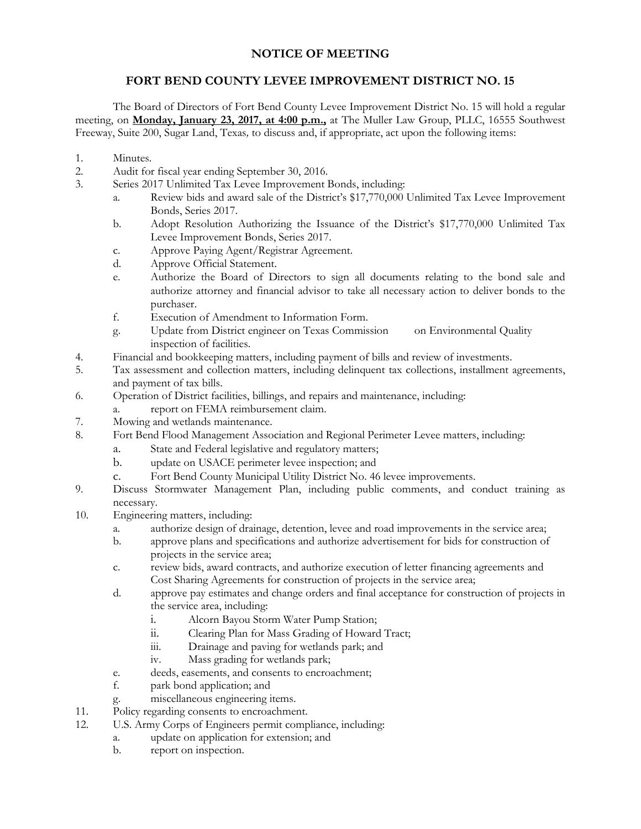## **NOTICE OF MEETING**

## **FORT BEND COUNTY LEVEE IMPROVEMENT DISTRICT NO. 15**

The Board of Directors of Fort Bend County Levee Improvement District No. 15 will hold a regular meeting, on **Monday, January 23, 2017, at 4:00 p.m.,** at The Muller Law Group, PLLC, 16555 Southwest Freeway, Suite 200, Sugar Land, Texas*,* to discuss and, if appropriate, act upon the following items:

- 1. Minutes.
- 2. Audit for fiscal year ending September 30, 2016.
- 3. Series 2017 Unlimited Tax Levee Improvement Bonds, including:
	- a. Review bids and award sale of the District's \$17,770,000 Unlimited Tax Levee Improvement Bonds, Series 2017.
	- b. Adopt Resolution Authorizing the Issuance of the District's \$17,770,000 Unlimited Tax Levee Improvement Bonds, Series 2017.
	- c. Approve Paying Agent/Registrar Agreement.
	- d. Approve Official Statement.
	- e. Authorize the Board of Directors to sign all documents relating to the bond sale and authorize attorney and financial advisor to take all necessary action to deliver bonds to the purchaser.
	- f. Execution of Amendment to Information Form.
	- g. Update from District engineer on Texas Commission on Environmental Quality inspection of facilities.
- 4. Financial and bookkeeping matters, including payment of bills and review of investments.
- 5. Tax assessment and collection matters, including delinquent tax collections, installment agreements, and payment of tax bills.
- 6. Operation of District facilities, billings, and repairs and maintenance, including:
	- a. report on FEMA reimbursement claim.
- 7. Mowing and wetlands maintenance.
- 8. Fort Bend Flood Management Association and Regional Perimeter Levee matters, including:
	- a. State and Federal legislative and regulatory matters;
	- b. update on USACE perimeter levee inspection; and
	- c. Fort Bend County Municipal Utility District No. 46 levee improvements.
- 9. Discuss Stormwater Management Plan, including public comments, and conduct training as necessary.
- 10. Engineering matters, including:
	- a. authorize design of drainage, detention, levee and road improvements in the service area;
	- b. approve plans and specifications and authorize advertisement for bids for construction of projects in the service area;
	- c. review bids, award contracts, and authorize execution of letter financing agreements and Cost Sharing Agreements for construction of projects in the service area;
	- d. approve pay estimates and change orders and final acceptance for construction of projects in the service area, including:
		- i. Alcorn Bayou Storm Water Pump Station;
		- ii. Clearing Plan for Mass Grading of Howard Tract;
		- iii. Drainage and paving for wetlands park; and
		- iv. Mass grading for wetlands park;
	- e. deeds, easements, and consents to encroachment;
	- f. park bond application; and
	- g. miscellaneous engineering items.
- 11. Policy regarding consents to encroachment.
- 12. U.S. Army Corps of Engineers permit compliance, including:
	- a. update on application for extension; and
		- b. report on inspection.